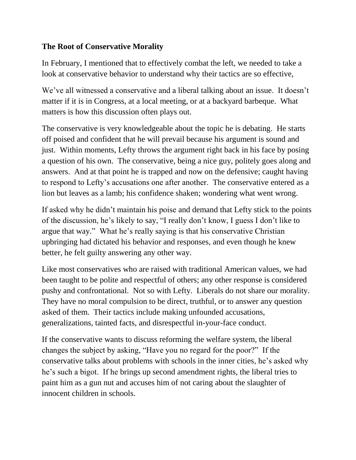## **The Root of Conservative Morality**

In February, I mentioned that to effectively combat the left, we needed to take a look at conservative behavior to understand why their tactics are so effective,

We've all witnessed a conservative and a liberal talking about an issue. It doesn't matter if it is in Congress, at a local meeting, or at a backyard barbeque. What matters is how this discussion often plays out.

The conservative is very knowledgeable about the topic he is debating. He starts off poised and confident that he will prevail because his argument is sound and just. Within moments, Lefty throws the argument right back in his face by posing a question of his own. The conservative, being a nice guy, politely goes along and answers. And at that point he is trapped and now on the defensive; caught having to respond to Lefty's accusations one after another. The conservative entered as a lion but leaves as a lamb; his confidence shaken; wondering what went wrong.

If asked why he didn't maintain his poise and demand that Lefty stick to the points of the discussion, he's likely to say, "I really don't know, I guess I don't like to argue that way." What he's really saying is that his conservative Christian upbringing had dictated his behavior and responses, and even though he knew better, he felt guilty answering any other way.

Like most conservatives who are raised with traditional American values, we had been taught to be polite and respectful of others; any other response is considered pushy and confrontational. Not so with Lefty. Liberals do not share our morality. They have no moral compulsion to be direct, truthful, or to answer any question asked of them. Their tactics include making unfounded accusations, generalizations, tainted facts, and disrespectful in-your-face conduct.

If the conservative wants to discuss reforming the welfare system, the liberal changes the subject by asking, "Have you no regard for the poor?" If the conservative talks about problems with schools in the inner cities, he's asked why he's such a bigot. If he brings up second amendment rights, the liberal tries to paint him as a gun nut and accuses him of not caring about the slaughter of innocent children in schools.